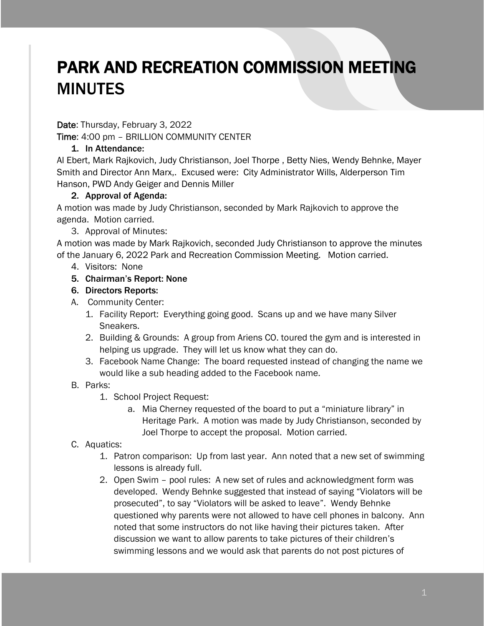# PARK AND RECREATION COMMISSION MEETING MINUTES

Date: Thursday, February 3, 2022

Time: 4:00 pm – BRILLION COMMUNITY CENTER

## 1. In Attendance:

Al Ebert, Mark Rajkovich, Judy Christianson, Joel Thorpe , Betty Nies, Wendy Behnke, Mayer Smith and Director Ann Marx,. Excused were: City Administrator Wills, Alderperson Tim Hanson, PWD Andy Geiger and Dennis Miller

### 2. Approval of Agenda:

A motion was made by Judy Christianson, seconded by Mark Rajkovich to approve the agenda. Motion carried.

3. Approval of Minutes:

A motion was made by Mark Rajkovich, seconded Judy Christianson to approve the minutes of the January 6, 2022 Park and Recreation Commission Meeting. Motion carried.

- 4. Visitors: None
- 5. Chairman's Report: None
- 6. Directors Reports:
- A. Community Center:
	- 1. Facility Report: Everything going good. Scans up and we have many Silver Sneakers.
	- 2. Building & Grounds: A group from Ariens CO. toured the gym and is interested in helping us upgrade. They will let us know what they can do.
	- 3. Facebook Name Change: The board requested instead of changing the name we would like a sub heading added to the Facebook name.

### B. Parks:

- 1. School Project Request:
	- a. Mia Cherney requested of the board to put a "miniature library" in Heritage Park. A motion was made by Judy Christianson, seconded by Joel Thorpe to accept the proposal. Motion carried.

### C. Aquatics:

- 1. Patron comparison: Up from last year. Ann noted that a new set of swimming lessons is already full.
- 2. Open Swim pool rules: A new set of rules and acknowledgment form was developed. Wendy Behnke suggested that instead of saying "Violators will be prosecuted", to say "Violators will be asked to leave". Wendy Behnke questioned why parents were not allowed to have cell phones in balcony. Ann noted that some instructors do not like having their pictures taken. After discussion we want to allow parents to take pictures of their children's swimming lessons and we would ask that parents do not post pictures of